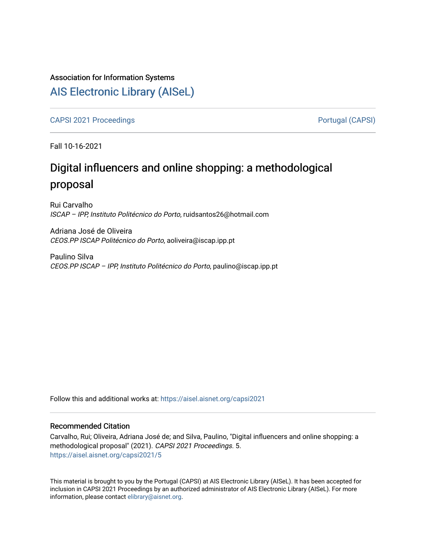# Association for Information Systems

# [AIS Electronic Library \(AISeL\)](https://aisel.aisnet.org/)

[CAPSI 2021 Proceedings](https://aisel.aisnet.org/capsi2021) **Portugal (CAPSI)** Portugal (CAPSI)

Fall 10-16-2021

# Digital influencers and online shopping: a methodological proposal

Rui Carvalho ISCAP – IPP, Instituto Politécnico do Porto, ruidsantos26@hotmail.com

Adriana José de Oliveira CEOS.PP ISCAP Politécnico do Porto, aoliveira@iscap.ipp.pt

Paulino Silva CEOS.PP ISCAP – IPP, Instituto Politécnico do Porto, paulino@iscap.ipp.pt

Follow this and additional works at: [https://aisel.aisnet.org/capsi2021](https://aisel.aisnet.org/capsi2021?utm_source=aisel.aisnet.org%2Fcapsi2021%2F5&utm_medium=PDF&utm_campaign=PDFCoverPages)

# Recommended Citation

Carvalho, Rui; Oliveira, Adriana José de; and Silva, Paulino, "Digital influencers and online shopping: a methodological proposal" (2021). CAPSI 2021 Proceedings. 5. [https://aisel.aisnet.org/capsi2021/5](https://aisel.aisnet.org/capsi2021/5?utm_source=aisel.aisnet.org%2Fcapsi2021%2F5&utm_medium=PDF&utm_campaign=PDFCoverPages)

This material is brought to you by the Portugal (CAPSI) at AIS Electronic Library (AISeL). It has been accepted for inclusion in CAPSI 2021 Proceedings by an authorized administrator of AIS Electronic Library (AISeL). For more information, please contact [elibrary@aisnet.org.](mailto:elibrary@aisnet.org%3E)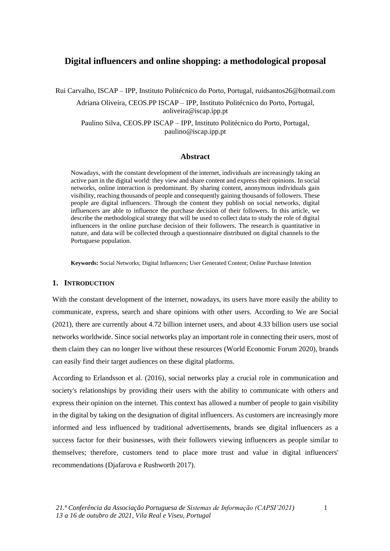# **Digital influencers and online shopping: a methodological proposal**

Rui Carvalho, ISCAP – IPP, Instituto Politécnico do Porto, Portugal, ruidsantos26@hotmail.com

Adriana Oliveira, CEOS.PP ISCAP – IPP, Instituto Politécnico do Porto, Portugal, aoliveira@iscap.ipp.pt

Paulino Silva, CEOS.PP ISCAP – IPP, Instituto Politécnico do Porto, Portugal, paulino@iscap.ipp.pt

# **Abstract**

Nowadays, with the constant development of the internet, individuals are increasingly taking an active part in the digital world: they view and share content and express their opinions. In social networks, online interaction is predominant. By sharing content, anonymous individuals gain visibility, reaching thousands of people and consequently gaining thousands of followers. These people are digital influencers. Through the content they publish on social networks, digital influencers are able to influence the purchase decision of their followers. In this article, we describe the methodological strategy that will be used to collect data to study the role of digital influencers in the online purchase decision of their followers. The research is quantitative in nature, and data will be collected through a questionnaire distributed on digital channels to the Portuguese population.

**Keywords:** Social Networks; Digital Influencers; User Generated Content; Online Purchase Intention

### **1. INTRODUCTION**

With the constant development of the internet, nowadays, its users have more easily the ability to communicate, express, search and share opinions with other users. According to We are Social (2021), there are currently about 4.72 billion internet users, and about 4.33 billion users use social networks worldwide. Since social networks play an important role in connecting their users, most of them claim they can no longer live without these resources (World Economic Forum 2020), brands can easily find their target audiences on these digital platforms.

According to Erlandsson et al. (2016), social networks play a crucial role in communication and society's relationships by providing their users with the ability to communicate with others and express their opinion on the internet. This context has allowed a number of people to gain visibility in the digital by taking on the designation of digital influencers. As customers are increasingly more informed and less influenced by traditional advertisements, brands see digital influencers as a success factor for their businesses, with their followers viewing influencers as people similar to themselves; therefore, customers tend to place more trust and value in digital influencers' recommendations (Djafarova e Rushworth 2017).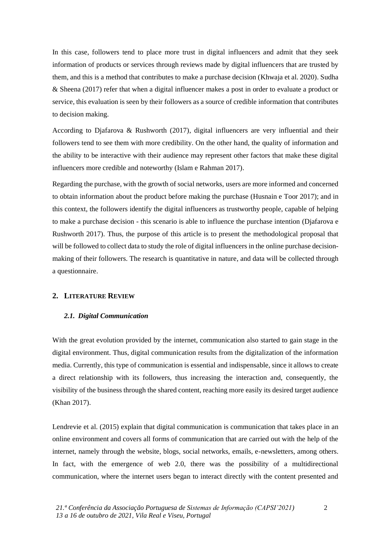In this case, followers tend to place more trust in digital influencers and admit that they seek information of products or services through reviews made by digital influencers that are trusted by them, and this is a method that contributes to make a purchase decision (Khwaja et al. 2020). Sudha & Sheena (2017) refer that when a digital influencer makes a post in order to evaluate a product or service, this evaluation is seen by their followers as a source of credible information that contributes to decision making.

According to Djafarova & Rushworth (2017), digital influencers are very influential and their followers tend to see them with more credibility. On the other hand, the quality of information and the ability to be interactive with their audience may represent other factors that make these digital influencers more credible and noteworthy (Islam e Rahman 2017).

Regarding the purchase, with the growth of social networks, users are more informed and concerned to obtain information about the product before making the purchase (Husnain e Toor 2017); and in this context, the followers identify the digital influencers as trustworthy people, capable of helping to make a purchase decision - this scenario is able to influence the purchase intention (Djafarova e Rushworth 2017). Thus, the purpose of this article is to present the methodological proposal that will be followed to collect data to study the role of digital influencers in the online purchase decisionmaking of their followers. The research is quantitative in nature, and data will be collected through a questionnaire.

#### **2. LITERATURE REVIEW**

#### *2.1. Digital Communication*

With the great evolution provided by the internet, communication also started to gain stage in the digital environment. Thus, digital communication results from the digitalization of the information media. Currently, this type of communication is essential and indispensable, since it allows to create a direct relationship with its followers, thus increasing the interaction and, consequently, the visibility of the business through the shared content, reaching more easily its desired target audience (Khan 2017).

Lendrevie et al. (2015) explain that digital communication is communication that takes place in an online environment and covers all forms of communication that are carried out with the help of the internet, namely through the website, blogs, social networks, emails, e-newsletters, among others. In fact, with the emergence of web 2.0, there was the possibility of a multidirectional communication, where the internet users began to interact directly with the content presented and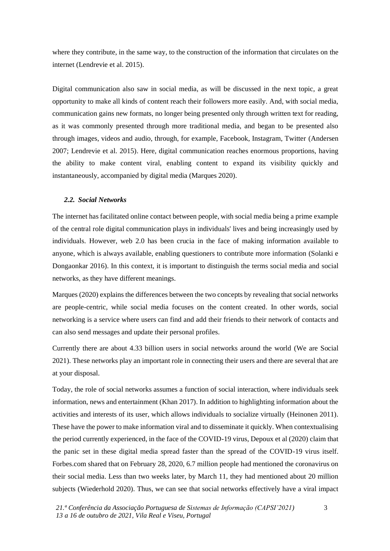where they contribute, in the same way, to the construction of the information that circulates on the internet (Lendrevie et al. 2015).

Digital communication also saw in social media, as will be discussed in the next topic, a great opportunity to make all kinds of content reach their followers more easily. And, with social media, communication gains new formats, no longer being presented only through written text for reading, as it was commonly presented through more traditional media, and began to be presented also through images, videos and audio, through, for example, Facebook, Instagram, Twitter (Andersen 2007; Lendrevie et al. 2015). Here, digital communication reaches enormous proportions, having the ability to make content viral, enabling content to expand its visibility quickly and instantaneously, accompanied by digital media (Marques 2020).

#### *2.2. Social Networks*

The internet has facilitated online contact between people, with social media being a prime example of the central role digital communication plays in individuals' lives and being increasingly used by individuals. However, web 2.0 has been crucia in the face of making information available to anyone, which is always available, enabling questioners to contribute more information (Solanki e Dongaonkar 2016). In this context, it is important to distinguish the terms social media and social networks, as they have different meanings.

Marques (2020) explains the differences between the two concepts by revealing that social networks are people-centric, while social media focuses on the content created. In other words, social networking is a service where users can find and add their friends to their network of contacts and can also send messages and update their personal profiles.

Currently there are about 4.33 billion users in social networks around the world (We are Social 2021). These networks play an important role in connecting their users and there are several that are at your disposal.

Today, the role of social networks assumes a function of social interaction, where individuals seek information, news and entertainment (Khan 2017). In addition to highlighting information about the activities and interests of its user, which allows individuals to socialize virtually (Heinonen 2011). These have the power to make information viral and to disseminate it quickly. When contextualising the period currently experienced, in the face of the COVID-19 virus, Depoux et al (2020) claim that the panic set in these digital media spread faster than the spread of the COVID-19 virus itself. Forbes.com shared that on February 28, 2020, 6.7 million people had mentioned the coronavirus on their social media. Less than two weeks later, by March 11, they had mentioned about 20 million subjects (Wiederhold 2020). Thus, we can see that social networks effectively have a viral impact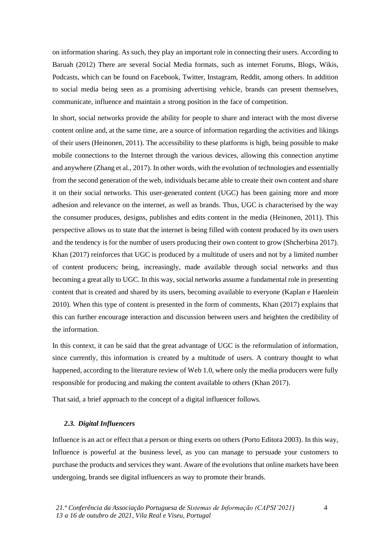on information sharing. As such, they play an important role in connecting their users. According to Baruah (2012) There are several Social Media formats, such as internet Forums, Blogs, Wikis, Podcasts, which can be found on Facebook, Twitter, Instagram, Reddit, among others. In addition to social media being seen as a promising advertising vehicle, brands can present themselves, communicate, influence and maintain a strong position in the face of competition.

In short, social networks provide the ability for people to share and interact with the most diverse content online and, at the same time, are a source of information regarding the activities and likings of their users (Heinonen, 2011). The accessibility to these platforms is high, being possible to make mobile connections to the Internet through the various devices, allowing this connection anytime and anywhere (Zhang et al., 2017). In other words, with the evolution of technologies and essentially from the second generation of the web, individuals became able to create their own content and share it on their social networks. This user-generated content (UGC) has been gaining more and more adhesion and relevance on the internet, as well as brands. Thus, UGC is characterised by the way the consumer produces, designs, publishes and edits content in the media (Heinonen, 2011). This perspective allows us to state that the internet is being filled with content produced by its own users and the tendency is for the number of users producing their own content to grow (Shcherbina 2017). Khan (2017) reinforces that UGC is produced by a multitude of users and not by a limited number of content producers; being, increasingly, made available through social networks and thus becoming a great ally to UGC. In this way, social networks assume a fundamental role in presenting content that is created and shared by its users, becoming available to everyone (Kaplan e Haenlein 2010). When this type of content is presented in the form of comments, Khan (2017) explains that this can further encourage interaction and discussion between users and heighten the credibility of the information.

In this context, it can be said that the great advantage of UGC is the reformulation of information, since currently, this information is created by a multitude of users. A contrary thought to what happened, according to the literature review of Web 1.0, where only the media producers were fully responsible for producing and making the content available to others (Khan 2017).

That said, a brief approach to the concept of a digital influencer follows.

#### *2.3. Digital Influencers*

Influence is an act or effect that a person or thing exerts on others (Porto Editora 2003). In this way, Influence is powerful at the business level, as you can manage to persuade your customers to purchase the products and services they want. Aware of the evolutions that online markets have been undergoing, brands see digital influencers as way to promote their brands.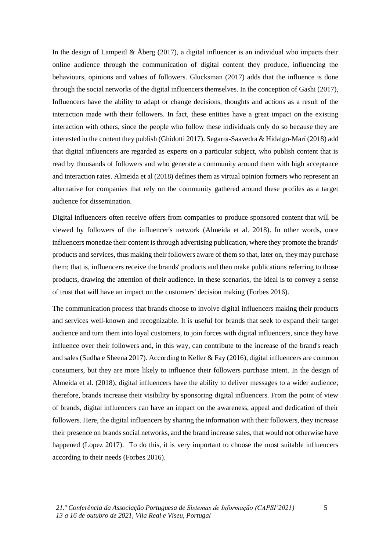In the design of Lampeitl & Åberg (2017), a digital influencer is an individual who impacts their online audience through the communication of digital content they produce, influencing the behaviours, opinions and values of followers. Glucksman (2017) adds that the influence is done through the social networks of the digital influencers themselves. In the conception of Gashi (2017), Influencers have the ability to adapt or change decisions, thoughts and actions as a result of the interaction made with their followers. In fact, these entities have a great impact on the existing interaction with others, since the people who follow these individuals only do so because they are interested in the content they publish (Ghidotti 2017). Segarra-Saavedra & Hidalgo-Marí (2018) add that digital influencers are regarded as experts on a particular subject, who publish content that is read by thousands of followers and who generate a community around them with high acceptance and interaction rates. Almeida et al (2018) defines them as virtual opinion formers who represent an alternative for companies that rely on the community gathered around these profiles as a target audience for dissemination.

Digital influencers often receive offers from companies to produce sponsored content that will be viewed by followers of the influencer's network (Almeida et al. 2018). In other words, once influencers monetize their content is through advertising publication, where they promote the brands' products and services, thus making their followers aware of them so that, later on, they may purchase them; that is, influencers receive the brands' products and then make publications referring to those products, drawing the attention of their audience. In these scenarios, the ideal is to convey a sense of trust that will have an impact on the customers' decision making (Forbes 2016).

The communication process that brands choose to involve digital influencers making their products and services well-known and recognizable. It is useful for brands that seek to expand their target audience and turn them into loyal customers, to join forces with digital influencers, since they have influence over their followers and, in this way, can contribute to the increase of the brand's reach and sales (Sudha e Sheena 2017). According to Keller & Fay (2016), digital influencers are common consumers, but they are more likely to influence their followers purchase intent. In the design of Almeida et al. (2018), digital influencers have the ability to deliver messages to a wider audience; therefore, brands increase their visibility by sponsoring digital influencers. From the point of view of brands, digital influencers can have an impact on the awareness, appeal and dedication of their followers. Here, the digital influencers by sharing the information with their followers, they increase their presence on brands social networks, and the brand increase sales, that would not otherwise have happened (Lopez 2017). To do this, it is very important to choose the most suitable influencers according to their needs (Forbes 2016).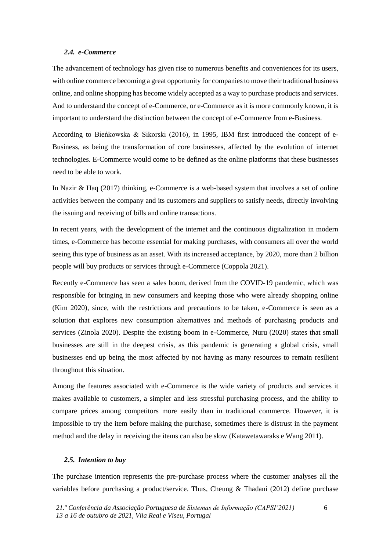#### *2.4. e-Commerce*

The advancement of technology has given rise to numerous benefits and conveniences for its users, with online commerce becoming a great opportunity for companies to move their traditional business online, and online shopping has become widely accepted as a way to purchase products and services. And to understand the concept of e-Commerce, or e-Commerce as it is more commonly known, it is important to understand the distinction between the concept of e-Commerce from e-Business.

According to Bieńkowska & Sikorski (2016), in 1995, IBM first introduced the concept of e-Business, as being the transformation of core businesses, affected by the evolution of internet technologies. E-Commerce would come to be defined as the online platforms that these businesses need to be able to work.

In Nazir & Haq (2017) thinking, e-Commerce is a web-based system that involves a set of online activities between the company and its customers and suppliers to satisfy needs, directly involving the issuing and receiving of bills and online transactions.

In recent years, with the development of the internet and the continuous digitalization in modern times, e-Commerce has become essential for making purchases, with consumers all over the world seeing this type of business as an asset. With its increased acceptance, by 2020, more than 2 billion people will buy products or services through e-Commerce (Coppola 2021).

Recently e-Commerce has seen a sales boom, derived from the COVID-19 pandemic, which was responsible for bringing in new consumers and keeping those who were already shopping online (Kim 2020), since, with the restrictions and precautions to be taken, e-Commerce is seen as a solution that explores new consumption alternatives and methods of purchasing products and services (Zinola 2020). Despite the existing boom in e-Commerce, Nuru (2020) states that small businesses are still in the deepest crisis, as this pandemic is generating a global crisis, small businesses end up being the most affected by not having as many resources to remain resilient throughout this situation.

Among the features associated with e-Commerce is the wide variety of products and services it makes available to customers, a simpler and less stressful purchasing process, and the ability to compare prices among competitors more easily than in traditional commerce. However, it is impossible to try the item before making the purchase, sometimes there is distrust in the payment method and the delay in receiving the items can also be slow (Katawetawaraks e Wang 2011).

#### *2.5. Intention to buy*

The purchase intention represents the pre-purchase process where the customer analyses all the variables before purchasing a product/service. Thus, Cheung & Thadani (2012) define purchase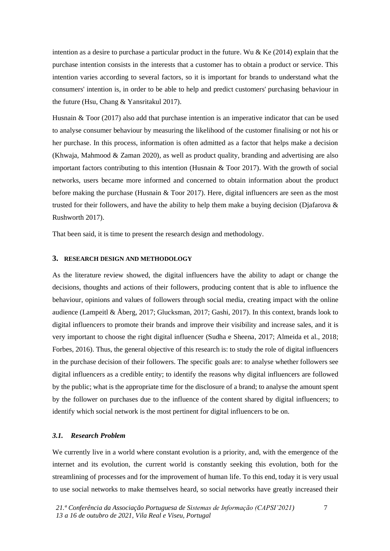intention as a desire to purchase a particular product in the future. Wu & Ke  $(2014)$  explain that the purchase intention consists in the interests that a customer has to obtain a product or service. This intention varies according to several factors, so it is important for brands to understand what the consumers' intention is, in order to be able to help and predict customers' purchasing behaviour in the future (Hsu, Chang & Yansritakul 2017).

Husnain & Toor (2017) also add that purchase intention is an imperative indicator that can be used to analyse consumer behaviour by measuring the likelihood of the customer finalising or not his or her purchase. In this process, information is often admitted as a factor that helps make a decision (Khwaja, Mahmood & Zaman 2020), as well as product quality, branding and advertising are also important factors contributing to this intention (Husnain & Toor 2017). With the growth of social networks, users became more informed and concerned to obtain information about the product before making the purchase (Husnain & Toor 2017). Here, digital influencers are seen as the most trusted for their followers, and have the ability to help them make a buying decision (Diafarova  $\&$ Rushworth 2017).

That been said, it is time to present the research design and methodology.

# **3. RESEARCH DESIGN AND METHODOLOGY**

As the literature review showed, the digital influencers have the ability to adapt or change the decisions, thoughts and actions of their followers, producing content that is able to influence the behaviour, opinions and values of followers through social media, creating impact with the online audience (Lampeitl & Åberg, 2017; Glucksman, 2017; Gashi, 2017). In this context, brands look to digital influencers to promote their brands and improve their visibility and increase sales, and it is very important to choose the right digital influencer (Sudha e Sheena, 2017; Almeida et al., 2018; Forbes, 2016). Thus, the general objective of this research is: to study the role of digital influencers in the purchase decision of their followers. The specific goals are: to analyse whether followers see digital influencers as a credible entity; to identify the reasons why digital influencers are followed by the public; what is the appropriate time for the disclosure of a brand; to analyse the amount spent by the follower on purchases due to the influence of the content shared by digital influencers; to identify which social network is the most pertinent for digital influencers to be on.

# *3.1. Research Problem*

We currently live in a world where constant evolution is a priority, and, with the emergence of the internet and its evolution, the current world is constantly seeking this evolution, both for the streamlining of processes and for the improvement of human life. To this end, today it is very usual to use social networks to make themselves heard, so social networks have greatly increased their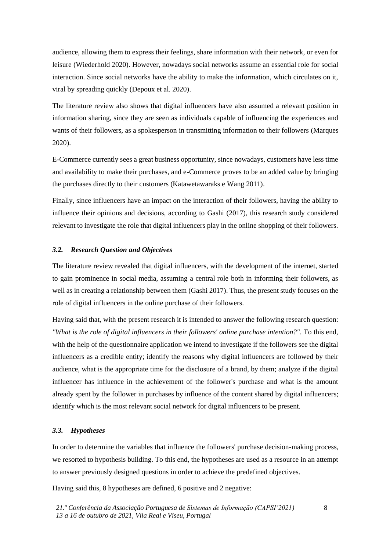audience, allowing them to express their feelings, share information with their network, or even for leisure (Wiederhold 2020). However, nowadays social networks assume an essential role for social interaction. Since social networks have the ability to make the information, which circulates on it, viral by spreading quickly (Depoux et al. 2020).

The literature review also shows that digital influencers have also assumed a relevant position in information sharing, since they are seen as individuals capable of influencing the experiences and wants of their followers, as a spokesperson in transmitting information to their followers (Marques 2020).

E-Commerce currently sees a great business opportunity, since nowadays, customers have less time and availability to make their purchases, and e-Commerce proves to be an added value by bringing the purchases directly to their customers (Katawetawaraks e Wang 2011).

Finally, since influencers have an impact on the interaction of their followers, having the ability to influence their opinions and decisions, according to Gashi (2017), this research study considered relevant to investigate the role that digital influencers play in the online shopping of their followers.

# *3.2. Research Question and Objectives*

The literature review revealed that digital influencers, with the development of the internet, started to gain prominence in social media, assuming a central role both in informing their followers, as well as in creating a relationship between them (Gashi 2017). Thus, the present study focuses on the role of digital influencers in the online purchase of their followers.

Having said that, with the present research it is intended to answer the following research question: *"What is the role of digital influencers in their followers' online purchase intention?"*. To this end, with the help of the questionnaire application we intend to investigate if the followers see the digital influencers as a credible entity; identify the reasons why digital influencers are followed by their audience, what is the appropriate time for the disclosure of a brand, by them; analyze if the digital influencer has influence in the achievement of the follower's purchase and what is the amount already spent by the follower in purchases by influence of the content shared by digital influencers; identify which is the most relevant social network for digital influencers to be present.

# *3.3. Hypotheses*

In order to determine the variables that influence the followers' purchase decision-making process, we resorted to hypothesis building. To this end, the hypotheses are used as a resource in an attempt to answer previously designed questions in order to achieve the predefined objectives.

Having said this, 8 hypotheses are defined, 6 positive and 2 negative: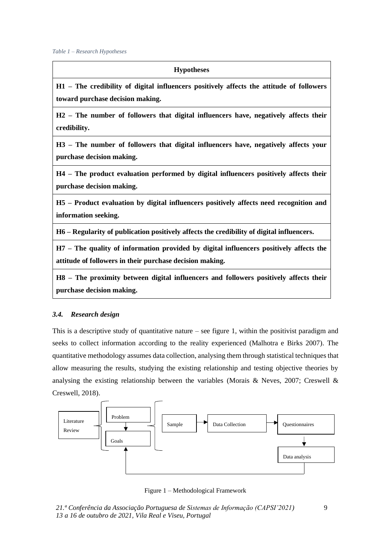#### **Hypotheses**

**H1 – The credibility of digital influencers positively affects the attitude of followers toward purchase decision making.**

**H2 – The number of followers that digital influencers have, negatively affects their credibility.**

**H3 – The number of followers that digital influencers have, negatively affects your purchase decision making.**

**H4 – The product evaluation performed by digital influencers positively affects their purchase decision making.**

**H5 – Product evaluation by digital influencers positively affects need recognition and information seeking.**

**H6 – Regularity of publication positively affects the credibility of digital influencers.**

**H7 – The quality of information provided by digital influencers positively affects the attitude of followers in their purchase decision making.**

**H8 – The proximity between digital influencers and followers positively affects their purchase decision making.**

#### *3.4. Research design*

This is a descriptive study of quantitative nature – see figure 1, within the positivist paradigm and seeks to collect information according to the reality experienced (Malhotra e Birks 2007). The quantitative methodology assumes data collection, analysing them through statistical techniques that allow measuring the results, studying the existing relationship and testing objective theories by analysing the existing relationship between the variables (Morais & Neves, 2007; Creswell & Creswell, 2018).



Figure 1 – Methodological Framework

*21.ª Conferência da Associação Portuguesa de Sistemas de Informação (CAPSI'2021) 13 a 16 de outubro de 2021, Vila Real e Viseu, Portugal*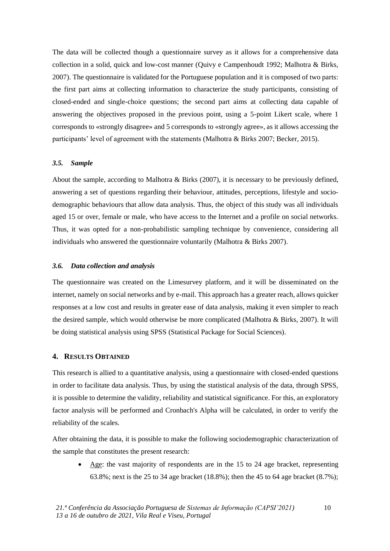The data will be collected though a questionnaire survey as it allows for a comprehensive data collection in a solid, quick and low-cost manner (Quivy e Campenhoudt 1992; Malhotra & Birks, 2007). The questionnaire is validated for the Portuguese population and it is composed of two parts: the first part aims at collecting information to characterize the study participants, consisting of closed-ended and single-choice questions; the second part aims at collecting data capable of answering the objectives proposed in the previous point, using a 5-point Likert scale, where 1 corresponds to «strongly disagree» and 5 corresponds to «strongly agree», as it allows accessing the participants' level of agreement with the statements (Malhotra & Birks 2007; Becker, 2015).

#### *3.5. Sample*

About the sample, according to Malhotra & Birks (2007), it is necessary to be previously defined, answering a set of questions regarding their behaviour, attitudes, perceptions, lifestyle and sociodemographic behaviours that allow data analysis. Thus, the object of this study was all individuals aged 15 or over, female or male, who have access to the Internet and a profile on social networks. Thus, it was opted for a non-probabilistic sampling technique by convenience, considering all individuals who answered the questionnaire voluntarily (Malhotra & Birks 2007).

#### *3.6. Data collection and analysis*

The questionnaire was created on the Limesurvey platform, and it will be disseminated on the internet, namely on social networks and by e-mail. This approach has a greater reach, allows quicker responses at a low cost and results in greater ease of data analysis, making it even simpler to reach the desired sample, which would otherwise be more complicated (Malhotra & Birks, 2007). It will be doing statistical analysis using SPSS (Statistical Package for Social Sciences).

# **4. RESULTS OBTAINED**

This research is allied to a quantitative analysis, using a questionnaire with closed-ended questions in order to facilitate data analysis. Thus, by using the statistical analysis of the data, through SPSS, it is possible to determine the validity, reliability and statistical significance. For this, an exploratory factor analysis will be performed and Cronbach's Alpha will be calculated, in order to verify the reliability of the scales.

After obtaining the data, it is possible to make the following sociodemographic characterization of the sample that constitutes the present research:

• Age: the vast majority of respondents are in the 15 to 24 age bracket, representing 63.8%; next is the 25 to 34 age bracket  $(18.8\%)$ ; then the 45 to 64 age bracket  $(8.7\%)$ ;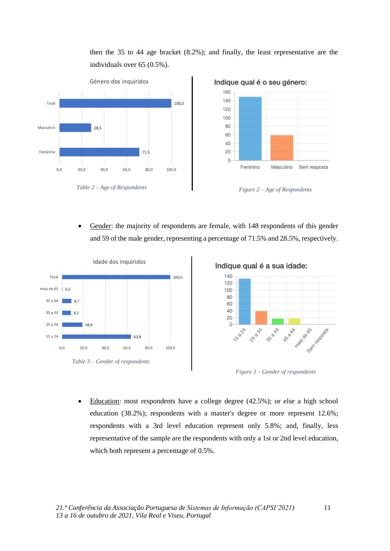

then the 35 to 44 age bracket (8.2%); and finally, the least representative are the individuals over 65 (0.5%).

• Gender: the majority of respondents are female, with 148 respondents of this gender and 59 of the male gender, representing a percentage of 71.5% and 28.5%, respectively.







• Education: most respondents have a college degree (42.5%); or else a high school education (38.2%); respondents with a master's degree or more represent 12.6%; respondents with a 3rd level education represent only 5.8%; and, finally, less representative of the sample are the respondents with only a 1st or 2nd level education, which both represent a percentage of 0.5%.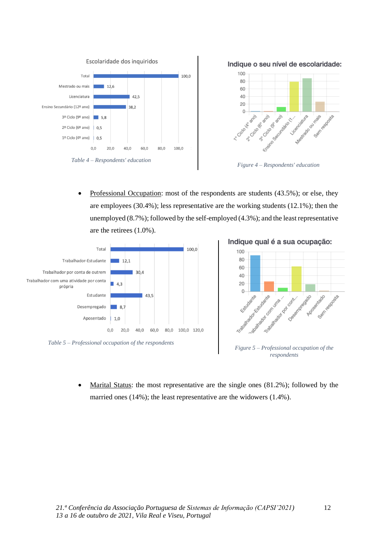

Professional Occupation: most of the respondents are students (43.5%); or else, they are employees (30.4%); less representative are the working students (12.1%); then the unemployed (8.7%); followed by the self-employed (4.3%); and the least representative are the retirees (1.0%).





Marital Status: the most representative are the single ones (81.2%); followed by the married ones (14%); the least representative are the widowers (1.4%).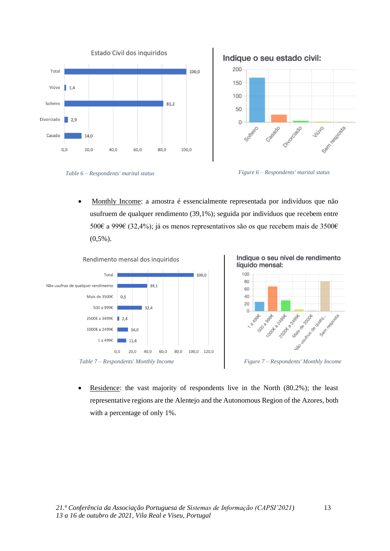





• Monthly Income: a amostra é essencialmente representada por indivíduos que não usufruem de qualquer rendimento (39,1%); seguida por indivíduos que recebem entre 500€ a 999€ (32,4%); já os menos representativos são os que recebem mais de 3500€  $(0,5\%)$ .





Residence: the vast majority of respondents live in the North (80.2%); the least representative regions are the Alentejo and the Autonomous Region of the Azores, both with a percentage of only 1%.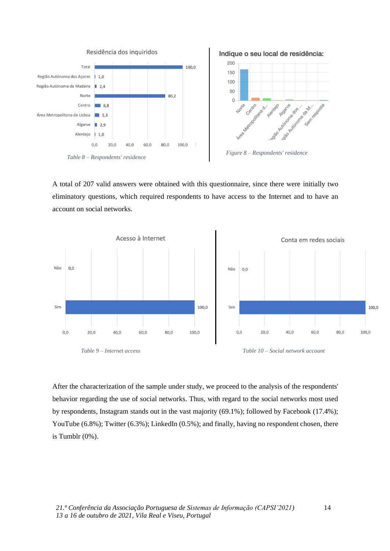

A total of 207 valid answers were obtained with this questionnaire, since there were initially two eliminatory questions, which required respondents to have access to the Internet and to have an account on social networks.



After the characterization of the sample under study, we proceed to the analysis of the respondents' behavior regarding the use of social networks. Thus, with regard to the social networks most used by respondents, Instagram stands out in the vast majority (69.1%); followed by Facebook (17.4%); YouTube (6.8%); Twitter (6.3%); LinkedIn (0.5%); and finally, having no respondent chosen, there is Tumblr (0%).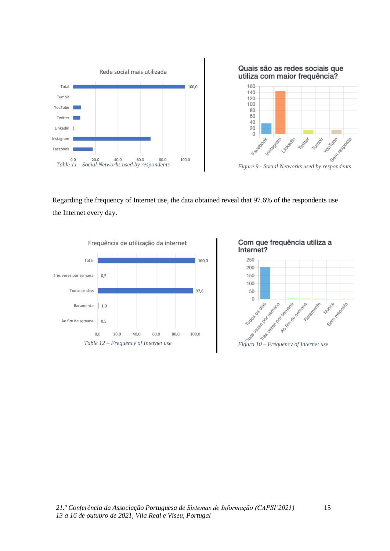





Regarding the frequency of Internet use, the data obtained reveal that 97.6% of the respondents use the Internet every day.



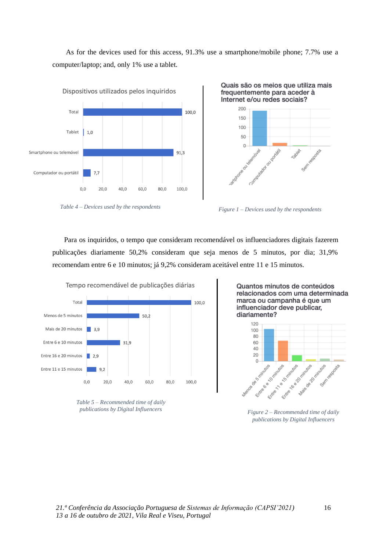As for the devices used for this access, 91.3% use a smartphone/mobile phone; 7.7% use a computer/laptop; and, only 1% use a tablet.







Para os inquiridos, o tempo que consideram recomendável os influenciadores digitais fazerem publicações diariamente 50,2% consideram que seja menos de 5 minutos, por dia; 31,9% recomendam entre 6 e 10 minutos; já 9,2% consideram aceitável entre 11 e 15 minutos.



*Table 5 – Recommended time of daily publications by Digital Influencers Figure <sup>2</sup> – Recommended time of daily* 

Quantos minutos de conteúdos relacionados com uma determinada marca ou campanha é que um influenciador deve publicar, diariamente?



*publications by Digital Influencers*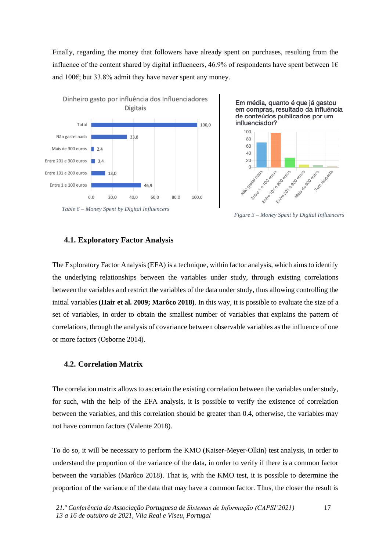Finally, regarding the money that followers have already spent on purchases, resulting from the influence of the content shared by digital influencers, 46.9% of respondents have spent between  $1 \in$ and 100€; but 33.8% admit they have never spent any money.







*Figure 3 – Money Spent by Digital Influencers*

# **4.1. Exploratory Factor Analysis**

The Exploratory Factor Analysis (EFA) is a technique, within factor analysis, which aims to identify the underlying relationships between the variables under study, through existing correlations between the variables and restrict the variables of the data under study, thus allowing controlling the initial variables **(Hair et al. 2009; Marôco 2018)**. In this way, it is possible to evaluate the size of a set of variables, in order to obtain the smallest number of variables that explains the pattern of correlations, through the analysis of covariance between observable variables as the influence of one or more factors (Osborne 2014).

### **4.2. Correlation Matrix**

The correlation matrix allows to ascertain the existing correlation between the variables under study, for such, with the help of the EFA analysis, it is possible to verify the existence of correlation between the variables, and this correlation should be greater than 0.4, otherwise, the variables may not have common factors (Valente 2018).

To do so, it will be necessary to perform the KMO (Kaiser-Meyer-Olkin) test analysis, in order to understand the proportion of the variance of the data, in order to verify if there is a common factor between the variables (Marôco 2018). That is, with the KMO test, it is possible to determine the proportion of the variance of the data that may have a common factor. Thus, the closer the result is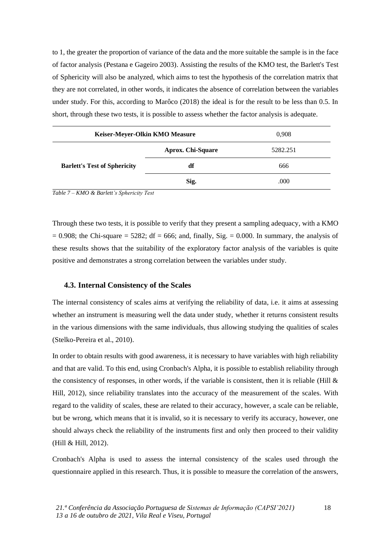to 1, the greater the proportion of variance of the data and the more suitable the sample is in the face of factor analysis (Pestana e Gageiro 2003). Assisting the results of the KMO test, the Barlett's Test of Sphericity will also be analyzed, which aims to test the hypothesis of the correlation matrix that they are not correlated, in other words, it indicates the absence of correlation between the variables under study. For this, according to Marôco (2018) the ideal is for the result to be less than 0.5. In short, through these two tests, it is possible to assess whether the factor analysis is adequate.

| Keiser-Meyer-Olkin KMO Measure      |                   | 0,908    |  |
|-------------------------------------|-------------------|----------|--|
|                                     | Aprox. Chi-Square | 5282.251 |  |
| <b>Barlett's Test of Sphericity</b> | df                | 666      |  |
|                                     | Sig.              | .000     |  |

*Table 7 – KMO & Barlett's Sphericity Test*

Through these two tests, it is possible to verify that they present a sampling adequacy, with a KMO  $= 0.908$ ; the Chi-square  $= 5282$ ; df  $= 666$ ; and, finally, Sig.  $= 0.000$ . In summary, the analysis of these results shows that the suitability of the exploratory factor analysis of the variables is quite positive and demonstrates a strong correlation between the variables under study.

# **4.3. Internal Consistency of the Scales**

The internal consistency of scales aims at verifying the reliability of data, i.e. it aims at assessing whether an instrument is measuring well the data under study, whether it returns consistent results in the various dimensions with the same individuals, thus allowing studying the qualities of scales (Stelko-Pereira et al., 2010).

In order to obtain results with good awareness, it is necessary to have variables with high reliability and that are valid. To this end, using Cronbach's Alpha, it is possible to establish reliability through the consistency of responses, in other words, if the variable is consistent, then it is reliable (Hill  $\&$ Hill, 2012), since reliability translates into the accuracy of the measurement of the scales. With regard to the validity of scales, these are related to their accuracy, however, a scale can be reliable, but be wrong, which means that it is invalid, so it is necessary to verify its accuracy, however, one should always check the reliability of the instruments first and only then proceed to their validity (Hill & Hill, 2012).

Cronbach's Alpha is used to assess the internal consistency of the scales used through the questionnaire applied in this research. Thus, it is possible to measure the correlation of the answers,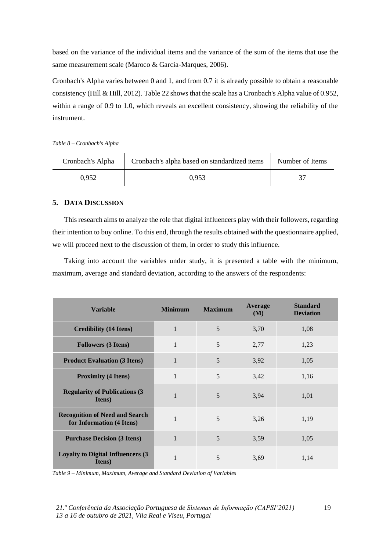based on the variance of the individual items and the variance of the sum of the items that use the same measurement scale (Maroco & Garcia-Marques, 2006).

Cronbach's Alpha varies between 0 and 1, and from 0.7 it is already possible to obtain a reasonable consistency (Hill & Hill, 2012). Table 22 shows that the scale has a Cronbach's Alpha value of 0.952, within a range of 0.9 to 1.0, which reveals an excellent consistency, showing the reliability of the instrument.

*Table 8 – Cronbach's Alpha*

| Cronbach's Alpha | Cronbach's alpha based on standardized items | Number of Items |
|------------------|----------------------------------------------|-----------------|
| 0.952            | 0.953                                        | 37              |

# **5. DATA DISCUSSION**

This research aims to analyze the role that digital influencers play with their followers, regarding their intention to buy online. To this end, through the results obtained with the questionnaire applied, we will proceed next to the discussion of them, in order to study this influence.

Taking into account the variables under study, it is presented a table with the minimum, maximum, average and standard deviation, according to the answers of the respondents:

| <b>Variable</b>                                                    | <b>Minimum</b> | <b>Maximum</b> | Average<br>(M) | <b>Standard</b><br><b>Deviation</b> |
|--------------------------------------------------------------------|----------------|----------------|----------------|-------------------------------------|
| <b>Credibility (14 Itens)</b>                                      | $\mathbf{1}$   | 5              | 3,70           | 1,08                                |
| <b>Followers (3 Itens)</b>                                         | 1              | 5              | 2,77           | 1,23                                |
| <b>Product Evaluation (3 Itens)</b>                                | $\mathbf{1}$   | 5              | 3,92           | 1,05                                |
| <b>Proximity (4 Itens)</b>                                         | 1              | 5              | 3,42           | 1,16                                |
| <b>Regularity of Publications (3)</b><br><b>Itens</b> )            | $\mathbf{1}$   | 5              | 3,94           | 1,01                                |
| <b>Recognition of Need and Search</b><br>for Information (4 Itens) | $\mathbf{1}$   | 5              | 3,26           | 1,19                                |
| <b>Purchase Decision (3 Itens)</b>                                 | 1              | 5              | 3,59           | 1,05                                |
| <b>Loyalty to Digital Influencers (3)</b><br>Itens)                | 1              | 5              | 3,69           | 1,14                                |

*Table 9 – Minimum, Maximum, Average and Standard Deviation of Variables*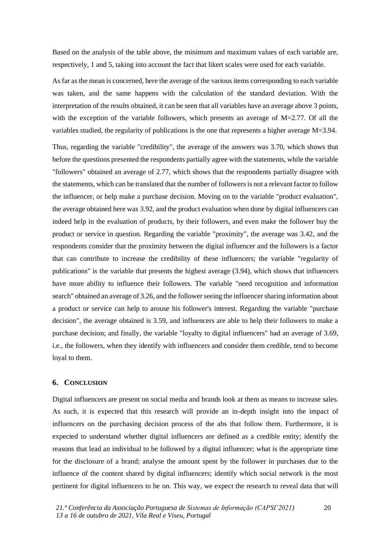Based on the analysis of the table above, the minimum and maximum values of each variable are, respectively, 1 and 5, taking into account the fact that likert scales were used for each variable.

As far as the mean is concerned, here the average of the various items corresponding to each variable was taken, and the same happens with the calculation of the standard deviation. With the interpretation of the results obtained, it can be seen that all variables have an average above 3 points, with the exception of the variable followers, which presents an average of M=2.77. Of all the variables studied, the regularity of publications is the one that represents a higher average M=3.94.

Thus, regarding the variable "credibility", the average of the answers was 3.70, which shows that before the questions presented the respondents partially agree with the statements, while the variable "followers" obtained an average of 2.77, which shows that the respondents partially disagree with the statements, which can be translated that the number of followers is not a relevant factor to follow the influencer, or help make a purchase decision. Moving on to the variable "product evaluation", the average obtained here was 3.92, and the product evaluation when done by digital influencers can indeed help in the evaluation of products, by their followers, and even make the follower buy the product or service in question. Regarding the variable "proximity", the average was 3.42, and the respondents consider that the proximity between the digital influencer and the followers is a factor that can contribute to increase the credibility of these influencers; the variable "regularity of publications" is the variable that presents the highest average (3.94), which shows that influencers have more ability to influence their followers. The variable "need recognition and information search" obtained an average of 3.26, and the follower seeing the influencer sharing information about a product or service can help to arouse his follower's interest. Regarding the variable "purchase decision", the average obtained is 3.59, and influencers are able to help their followers to make a purchase decision; and finally, the variable "loyalty to digital influencers" had an average of 3.69, i.e., the followers, when they identify with influencers and consider them credible, tend to become loyal to them.

# **6. CONCLUSION**

Digital influencers are present on social media and brands look at them as means to increase sales. As such, it is expected that this research will provide an in-depth insight into the impact of influencers on the purchasing decision process of the abs that follow them. Furthermore, it is expected to understand whether digital influencers are defined as a credible entity; identify the reasons that lead an individual to be followed by a digital influencer; what is the appropriate time for the disclosure of a brand; analyse the amount spent by the follower in purchases due to the influence of the content shared by digital influencers; identify which social network is the most pertinent for digital influencers to be on. This way, we expect the research to reveal data that will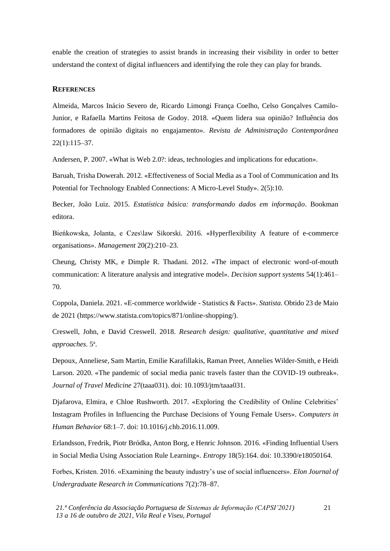enable the creation of strategies to assist brands in increasing their visibility in order to better understand the context of digital influencers and identifying the role they can play for brands.

#### **REFERENCES**

Almeida, Marcos Inácio Severo de, Ricardo Limongi França Coelho, Celso Gonçalves Camilo-Junior, e Rafaella Martins Feitosa de Godoy. 2018. «Quem lidera sua opinião? Influência dos formadores de opinião digitais no engajamento». *Revista de Administração Contemporânea* 22(1):115–37.

Andersen, P. 2007. «What is Web 2.0?: ideas, technologies and implications for education».

Baruah, Trisha Dowerah. 2012. «Effectiveness of Social Media as a Tool of Communication and Its Potential for Technology Enabled Connections: A Micro-Level Study». 2(5):10.

Becker, João Luiz. 2015. *Estatística básica: transformando dados em informação*. Bookman editora.

Bieńkowska, Jolanta, e Czes\law Sikorski. 2016. «Hyperflexibility A feature of e-commerce organisations». *Management* 20(2):210–23.

Cheung, Christy MK, e Dimple R. Thadani. 2012. «The impact of electronic word-of-mouth communication: A literature analysis and integrative model». *Decision support systems* 54(1):461– 70.

Coppola, Daniela. 2021. «E-commerce worldwide - Statistics & Facts». *Statista*. Obtido 23 de Maio de 2021 (https://www.statista.com/topics/871/online-shopping/).

Creswell, John, e David Creswell. 2018. *Research design: qualitative, quantitative and mixed approaches.* 5 a .

Depoux, Anneliese, Sam Martin, Emilie Karafillakis, Raman Preet, Annelies Wilder-Smith, e Heidi Larson. 2020. «The pandemic of social media panic travels faster than the COVID-19 outbreak». *Journal of Travel Medicine* 27(taaa031). doi: 10.1093/jtm/taaa031.

Djafarova, Elmira, e Chloe Rushworth. 2017. «Exploring the Credibility of Online Celebrities' Instagram Profiles in Influencing the Purchase Decisions of Young Female Users». *Computers in Human Behavior* 68:1–7. doi: 10.1016/j.chb.2016.11.009.

Erlandsson, Fredrik, Piotr Bródka, Anton Borg, e Henric Johnson. 2016. «Finding Influential Users in Social Media Using Association Rule Learning». *Entropy* 18(5):164. doi: 10.3390/e18050164.

Forbes, Kristen. 2016. «Examining the beauty industry's use of social influencers». *Elon Journal of Undergraduate Research in Communications* 7(2):78–87.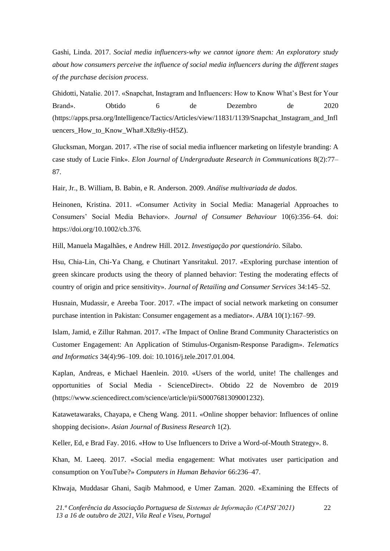Gashi, Linda. 2017. *Social media influencers-why we cannot ignore them: An exploratory study about how consumers perceive the influence of social media influencers during the different stages of the purchase decision process*.

Ghidotti, Natalie. 2017. «Snapchat, Instagram and Influencers: How to Know What's Best for Your Brand». Obtido 6 de Dezembro de 2020 (https://apps.prsa.org/Intelligence/Tactics/Articles/view/11831/1139/Snapchat\_Instagram\_and\_Infl uencers\_How\_to\_Know\_Wha#.X8z9iy-tH5Z).

Glucksman, Morgan. 2017. «The rise of social media influencer marketing on lifestyle branding: A case study of Lucie Fink». *Elon Journal of Undergraduate Research in Communications* 8(2):77– 87.

Hair, Jr., B. William, B. Babin, e R. Anderson. 2009. *Análise multivariada de dados*.

Heinonen, Kristina. 2011. «Consumer Activity in Social Media: Managerial Approaches to Consumers' Social Media Behavior». *Journal of Consumer Behaviour* 10(6):356–64. doi: https://doi.org/10.1002/cb.376.

Hill, Manuela Magalhães, e Andrew Hill. 2012. *Investigação por questionário*. Sílabo.

Hsu, Chia-Lin, Chi-Ya Chang, e Chutinart Yansritakul. 2017. «Exploring purchase intention of green skincare products using the theory of planned behavior: Testing the moderating effects of country of origin and price sensitivity». *Journal of Retailing and Consumer Services* 34:145–52.

Husnain, Mudassir, e Areeba Toor. 2017. «The impact of social network marketing on consumer purchase intention in Pakistan: Consumer engagement as a mediator». *AJBA* 10(1):167–99.

Islam, Jamid, e Zillur Rahman. 2017. «The Impact of Online Brand Community Characteristics on Customer Engagement: An Application of Stimulus-Organism-Response Paradigm». *Telematics and Informatics* 34(4):96–109. doi: 10.1016/j.tele.2017.01.004.

Kaplan, Andreas, e Michael Haenlein. 2010. «Users of the world, unite! The challenges and opportunities of Social Media - ScienceDirect». Obtido 22 de Novembro de 2019 (https://www.sciencedirect.com/science/article/pii/S0007681309001232).

Katawetawaraks, Chayapa, e Cheng Wang. 2011. «Online shopper behavior: Influences of online shopping decision». *Asian Journal of Business Research* 1(2).

Keller, Ed, e Brad Fay. 2016. «How to Use Influencers to Drive a Word-of-Mouth Strategy». 8.

Khan, M. Laeeq. 2017. «Social media engagement: What motivates user participation and consumption on YouTube?» *Computers in Human Behavior* 66:236–47.

Khwaja, Muddasar Ghani, Saqib Mahmood, e Umer Zaman. 2020. «Examining the Effects of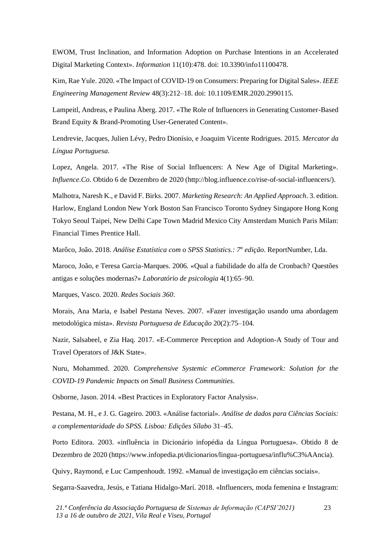EWOM, Trust Inclination, and Information Adoption on Purchase Intentions in an Accelerated Digital Marketing Context». *Information* 11(10):478. doi: 10.3390/info11100478.

Kim, Rae Yule. 2020. «The Impact of COVID-19 on Consumers: Preparing for Digital Sales». *IEEE Engineering Management Review* 48(3):212–18. doi: 10.1109/EMR.2020.2990115.

Lampeitl, Andreas, e Paulina Åberg. 2017. «The Role of Influencers in Generating Customer-Based Brand Equity & Brand-Promoting User-Generated Content».

Lendrevie, Jacques, Julien Lévy, Pedro Dionísio, e Joaquim Vicente Rodrigues. 2015. *Mercator da Língua Portuguesa*.

Lopez, Angela. 2017. «The Rise of Social Influencers: A New Age of Digital Marketing». *Influence.Co*. Obtido 6 de Dezembro de 2020 (http://blog.influence.co/rise-of-social-influencers/).

Malhotra, Naresh K., e David F. Birks. 2007. *Marketing Research: An Applied Approach*. 3. edition. Harlow, England London New York Boston San Francisco Toronto Sydney Singapore Hong Kong Tokyo Seoul Taipei, New Delhi Cape Town Madrid Mexico City Amsterdam Munich Paris Milan: Financial Times Prentice Hall.

Marôco, João. 2018. *Análise Estatística com o SPSS Statistics.: 7<sup>a</sup> edição*. ReportNumber, Lda.

Maroco, João, e Teresa Garcia-Marques. 2006. «Qual a fiabilidade do alfa de Cronbach? Questões antigas e soluções modernas?» *Laboratório de psicologia* 4(1):65–90.

Marques, Vasco. 2020. *Redes Sociais 360*.

Morais, Ana Maria, e Isabel Pestana Neves. 2007. «Fazer investigação usando uma abordagem metodológica mista». *Revista Portuguesa de Educação* 20(2):75–104.

Nazir, Salsabeel, e Zia Haq. 2017. «E-Commerce Perception and Adoption-A Study of Tour and Travel Operators of J&K State».

Nuru, Mohammed. 2020. *Comprehensive Systemic eCommerce Framework: Solution for the COVID-19 Pandemic Impacts on Small Business Communities*.

Osborne, Jason. 2014. «Best Practices in Exploratory Factor Analysis».

Pestana, M. H., e J. G. Gageiro. 2003. «Análise factorial». *Análise de dados para Ciências Sociais: a complementaridade do SPSS. Lisboa: Edições Sílabo* 31–45.

Porto Editora. 2003. «influência in Dicionário infopédia da Língua Portuguesa». Obtido 8 de Dezembro de 2020 (https://www.infopedia.pt/dicionarios/lingua-portuguesa/influ%C3%AAncia).

Quivy, Raymond, e Luc Campenhoudt. 1992. «Manual de investigação em ciências sociais».

Segarra-Saavedra, Jesús, e Tatiana Hidalgo-Marí. 2018. «Influencers, moda femenina e Instagram: